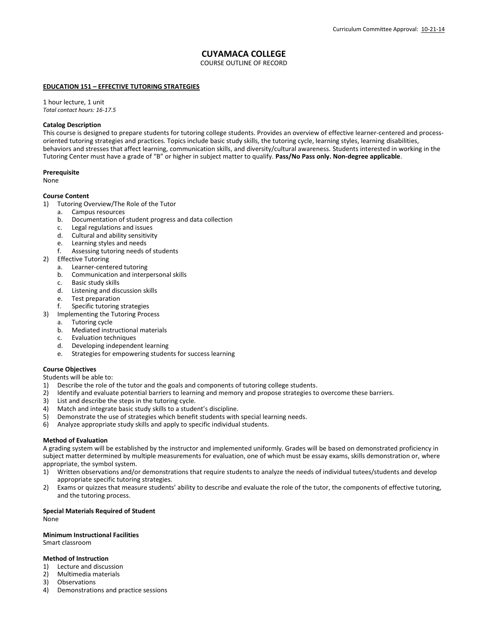# **CUYAMACA COLLEGE**

COURSE OUTLINE OF RECORD

# **EDUCATION 151 – EFFECTIVE TUTORING STRATEGIES**

1 hour lecture, 1 unit *Total contact hours: 16-17.5*

## **Catalog Description**

This course is designed to prepare students for tutoring college students. Provides an overview of effective learner-centered and processoriented tutoring strategies and practices. Topics include basic study skills, the tutoring cycle, learning styles, learning disabilities, behaviors and stresses that affect learning, communication skills, and diversity/cultural awareness. Students interested in working in the Tutoring Center must have a grade of "B" or higher in subject matter to qualify. **Pass/No Pass only. Non-degree applicable**.

## **Prerequisite**

None

# **Course Content**

- 1) Tutoring Overview/The Role of the Tutor
	- a. Campus resources
	- b. Documentation of student progress and data collection
	- c. Legal regulations and issues
	- d. Cultural and ability sensitivity
	- e. Learning styles and needs
	- f. Assessing tutoring needs of students
- 2) Effective Tutoring
	- a. Learner-centered tutoring
	- b. Communication and interpersonal skills
	- c. Basic study skills
	- d. Listening and discussion skills
	- e. Test preparation
	- f. Specific tutoring strategies
- 3) Implementing the Tutoring Process
	- a. Tutoring cycle
		- b. Mediated instructional materials
		- c. Evaluation techniques
		- d. Developing independent learning
		- e. Strategies for empowering students for success learning

## **Course Objectives**

Students will be able to:

- 1) Describe the role of the tutor and the goals and components of tutoring college students.
- 2) Identify and evaluate potential barriers to learning and memory and propose strategies to overcome these barriers.
- 3) List and describe the steps in the tutoring cycle.
- 4) Match and integrate basic study skills to a student's discipline.<br>5) Demonstrate the use of strategies which benefit students with
- 5) Demonstrate the use of strategies which benefit students with special learning needs.<br>6) Analyze appropriate study skills and apply to specific individual students.
- 6) Analyze appropriate study skills and apply to specific individual students.

## **Method of Evaluation**

A grading system will be established by the instructor and implemented uniformly. Grades will be based on demonstrated proficiency in subject matter determined by multiple measurements for evaluation, one of which must be essay exams, skills demonstration or, where appropriate, the symbol system.

- 1) Written observations and/or demonstrations that require students to analyze the needs of individual tutees/students and develop appropriate specific tutoring strategies.
- 2) Exams or quizzes that measure students' ability to describe and evaluate the role of the tutor, the components of effective tutoring, and the tutoring process.

#### **Special Materials Required of Student**

None

# **Minimum Instructional Facilities**

Smart classroom

## **Method of Instruction**

- 1) Lecture and discussion
- 2) Multimedia materials
- 3) Observations<br>4) Demonstration
- 4) Demonstrations and practice sessions